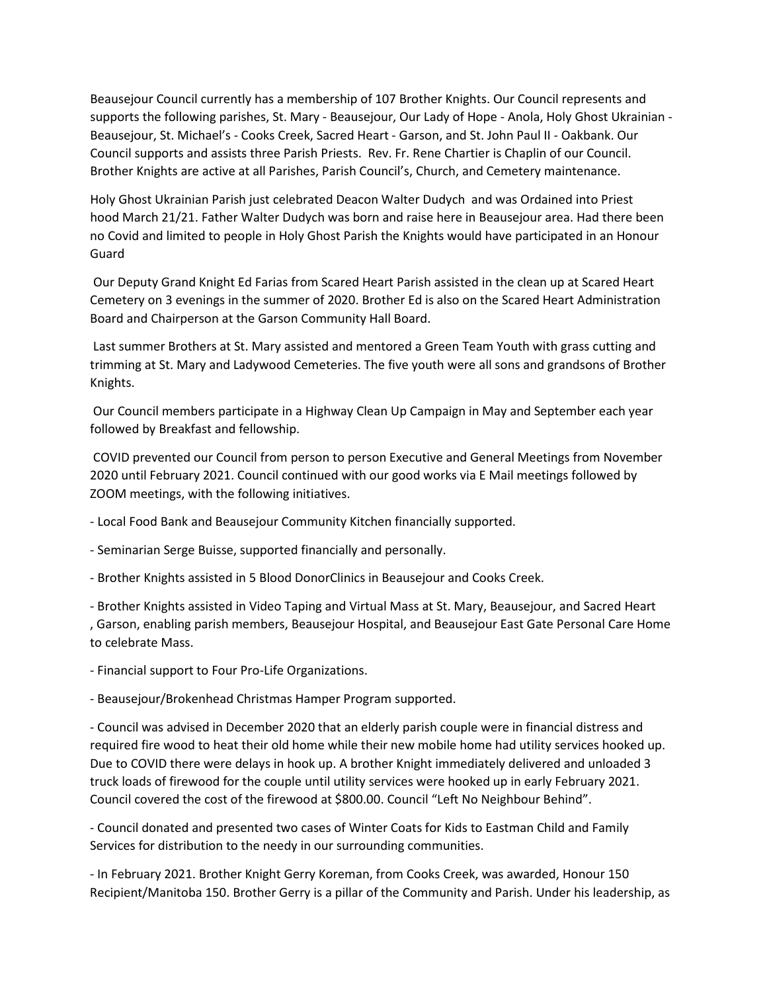Beausejour Council currently has a membership of 107 Brother Knights. Our Council represents and supports the following parishes, St. Mary - Beausejour, Our Lady of Hope - Anola, Holy Ghost Ukrainian - Beausejour, St. Michael's - Cooks Creek, Sacred Heart - Garson, and St. John Paul II - Oakbank. Our Council supports and assists three Parish Priests. Rev. Fr. Rene Chartier is Chaplin of our Council. Brother Knights are active at all Parishes, Parish Council's, Church, and Cemetery maintenance.

Holy Ghost Ukrainian Parish just celebrated Deacon Walter Dudych and was Ordained into Priest hood March 21/21. Father Walter Dudych was born and raise here in Beausejour area. Had there been no Covid and limited to people in Holy Ghost Parish the Knights would have participated in an Honour Guard

Our Deputy Grand Knight Ed Farias from Scared Heart Parish assisted in the clean up at Scared Heart Cemetery on 3 evenings in the summer of 2020. Brother Ed is also on the Scared Heart Administration Board and Chairperson at the Garson Community Hall Board.

Last summer Brothers at St. Mary assisted and mentored a Green Team Youth with grass cutting and trimming at St. Mary and Ladywood Cemeteries. The five youth were all sons and grandsons of Brother Knights.

Our Council members participate in a Highway Clean Up Campaign in May and September each year followed by Breakfast and fellowship.

COVID prevented our Council from person to person Executive and General Meetings from November 2020 until February 2021. Council continued with our good works via E Mail meetings followed by ZOOM meetings, with the following initiatives.

- Local Food Bank and Beausejour Community Kitchen financially supported.

- Seminarian Serge Buisse, supported financially and personally.

- Brother Knights assisted in 5 Blood DonorClinics in Beausejour and Cooks Creek.

- Brother Knights assisted in Video Taping and Virtual Mass at St. Mary, Beausejour, and Sacred Heart , Garson, enabling parish members, Beausejour Hospital, and Beausejour East Gate Personal Care Home to celebrate Mass.

- Financial support to Four Pro-Life Organizations.

- Beausejour/Brokenhead Christmas Hamper Program supported.

- Council was advised in December 2020 that an elderly parish couple were in financial distress and required fire wood to heat their old home while their new mobile home had utility services hooked up. Due to COVID there were delays in hook up. A brother Knight immediately delivered and unloaded 3 truck loads of firewood for the couple until utility services were hooked up in early February 2021. Council covered the cost of the firewood at \$800.00. Council "Left No Neighbour Behind".

- Council donated and presented two cases of Winter Coats for Kids to Eastman Child and Family Services for distribution to the needy in our surrounding communities.

- In February 2021. Brother Knight Gerry Koreman, from Cooks Creek, was awarded, Honour 150 Recipient/Manitoba 150. Brother Gerry is a pillar of the Community and Parish. Under his leadership, as